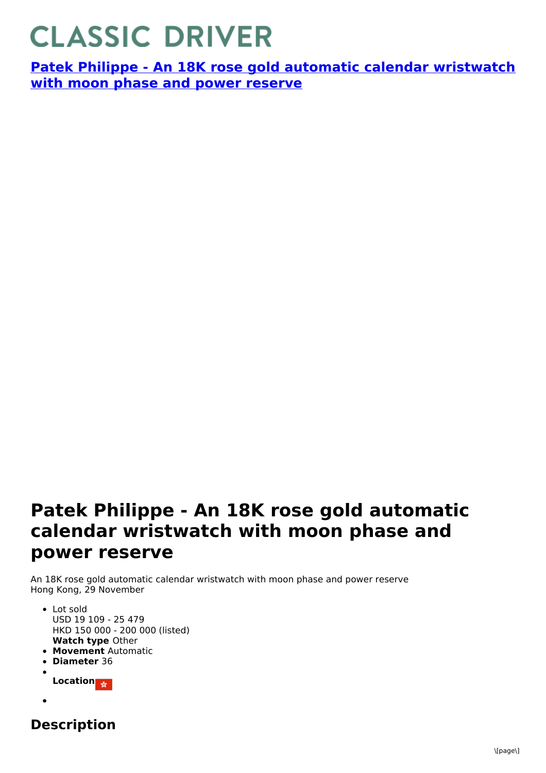## **CLASSIC DRIVER**

**Patek Philippe - An 18K rose gold automatic calendar [wristwatch](https://www.classicdriver.com/en/watch/patek-philippe/266962) with moon phase and power reserve**

## **Patek Philippe - An 18K rose gold automatic calendar wristwatch with moon phase and power reserve**

An 18K rose gold automatic calendar wristwatch with moon phase and power reserve Hong Kong, 29 November

- **Watch type** Other • Lot sold USD 19 109 - 25 479 HKD 150 000 - 200 000 (listed)
- **Movement** Automatic
- **Diameter** 36
- **Location**
- 
- **Description**